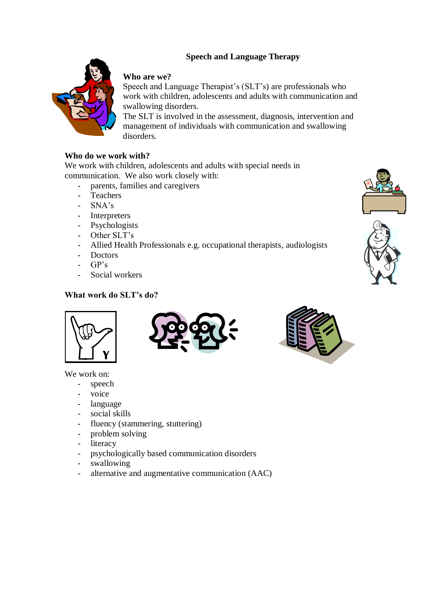## **Speech and Language Therapy**



### **Who are we?**

Speech and Language Therapist's (SLT's) are professionals who work with children, adolescents and adults with communication and swallowing disorders.

The SLT is involved in the assessment, diagnosis, intervention and management of individuals with communication and swallowing disorders.

#### **Who do we work with?**

We work with children, adolescents and adults with special needs in communication. We also work closely with:

- parents, families and caregivers
- Teachers
- SNA's
- Interpreters
- Psychologists
- Other SLT's
- Allied Health Professionals e.g. occupational therapists, audiologists
- Doctors
- $-$  GP's
- Social workers

#### **What work do SLT's do?**



We work on:

- speech
- voice
- language
- social skills
- fluency (stammering, stuttering)
- problem solving
- literacy
- psychologically based communication disorders
- swallowing
- alternative and augmentative communication (AAC)